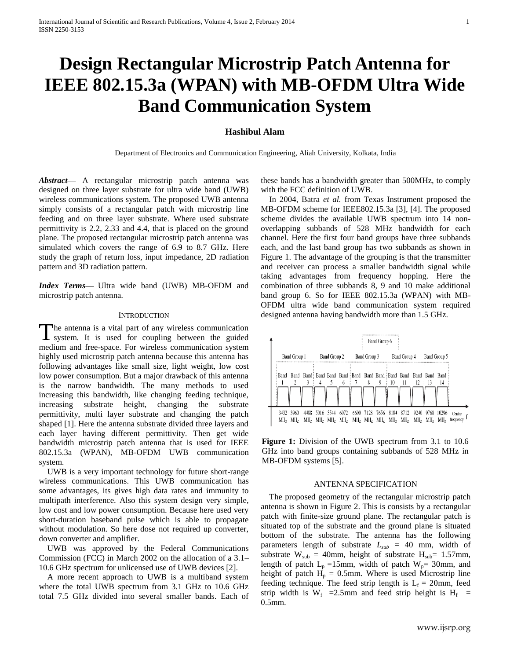# **Design Rectangular Microstrip Patch Antenna for IEEE 802.15.3a (WPAN) with MB-OFDM Ultra Wide Band Communication System**

## **Hashibul Alam**

Department of Electronics and Communication Engineering, Aliah University, Kolkata, India

*Abstract***—** A rectangular microstrip patch antenna was designed on three layer substrate for ultra wide band (UWB) wireless communications system. The proposed UWB antenna simply consists of a rectangular patch with microstrip line feeding and on three layer substrate. Where used substrate permittivity is 2.2, 2.33 and 4.4, that is placed on the ground plane. The proposed rectangular microstrip patch antenna was simulated which covers the range of 6.9 to 8.7 GHz. Here study the graph of return loss, input impedance, 2D radiation pattern and 3D radiation pattern.

*Index Terms***—** Ultra wide band (UWB) MB-OFDM and microstrip patch antenna.

## **INTRODUCTION**

he antenna is a vital part of any wireless communication The antenna is a vital part of any wireless communication<br>system. It is used for coupling between the guided medium and free-space. For wireless communication system highly used microstrip patch antenna because this antenna has following advantages like small size, light weight, low cost low power consumption. But a major drawback of this antenna is the narrow bandwidth. The many methods to used increasing this bandwidth, like changing feeding technique, increasing substrate height, changing the substrate permittivity, multi layer substrate and changing the patch shaped [1]. Here the antenna substrate divided three layers and each layer having different permittivity. Then get wide bandwidth microstrip patch antenna that is used for IEEE 802.15.3a (WPAN), MB-OFDM UWB communication system.

UWB is a very important technology for future short-range wireless communications. This UWB communication has some advantages, its gives high data rates and immunity to multipath interference. Also this system design very simple, low cost and low power consumption. Because here used very short-duration baseband pulse which is able to propagate without modulation. So here dose not required up converter, down converter and amplifier.

UWB was approved by the Federal Communications Commission (FCC) in March 2002 on the allocation of a 3.1– 10.6 GHz spectrum for unlicensed use of UWB devices [2].

A more recent approach to UWB is a multiband system where the total UWB spectrum from 3.1 GHz to 10.6 GHz total 7.5 GHz divided into several smaller bands. Each of

these bands has a bandwidth greater than 500MHz, to comply with the FCC definition of UWB.

In 2004, Batra *et al.* from Texas Instrument proposed the MB-OFDM scheme for IEEE802.15.3a [3], [4]. The proposed scheme divides the available UWB spectrum into 14 nonoverlapping subbands of 528 MHz bandwidth for each channel. Here the first four band groups have three subbands each, and the last band group has two subbands as shown in Figure 1. The advantage of the grouping is that the transmitter and receiver can process a smaller bandwidth signal while taking advantages from frequency hopping. Here the combination of three subbands 8, 9 and 10 make additional band group 6. So for IEEE 802.15.3a (WPAN) with MB-OFDM ultra wide band communication system required designed antenna having bandwidth more than 1.5 GHz.



**Figure 1:** Division of the UWB spectrum from 3.1 to 10.6 GHz into band groups containing subbands of 528 MHz in MB-OFDM systems [5].

## ANTENNA SPECIFICATION

The proposed geometry of the rectangular microstrip patch antenna is shown in Figure 2. This is consists by a rectangular patch with finite-size ground plane. The rectangular patch is situated top of the substrate and the ground plane is situated bottom of the substrate. The antenna has the following parameters length of substrate  $L_{sub} = 40$  mm, width of substrate  $W_{sub} = 40$ mm, height of substrate  $H_{sub} = 1.57$ mm, length of patch  $L_p = 15$ mm, width of patch  $W_p = 30$ mm, and height of patch  $H_p = 0.5$ mm. Where is used Microstrip line feeding technique. The feed strip length is  $L_f = 20$ mm, feed strip width is  $W_f$  = 2.5mm and feed strip height is  $H_f$  = 0.5mm.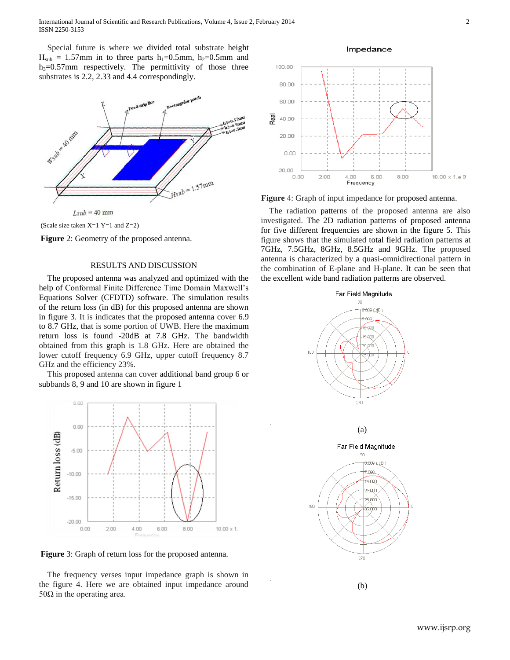Special future is where we divided total substrate height  $H<sub>sub</sub> = 1.57$ mm in to three parts  $h_1 = 0.5$ mm,  $h_2 = 0.5$ mm and  $h_3=0.57$ mm respectively. The permittivity of those three substrates is 2.2, 2.33 and 4.4 correspondingly.







## RESULTS AND DISCUSSION

The proposed antenna was analyzed and optimized with the help of Conformal Finite Difference Time Domain Maxwell's Equations Solver (CFDTD) software. The simulation results of the return loss (in dB) for this proposed antenna are shown in figure 3. It is indicates that the proposed antenna cover 6.9 to 8.7 GHz, that is some portion of UWB. Here the maximum return loss is found -20dB at 7.8 GHz. The bandwidth obtained from this graph is 1.8 GHz. Here are obtained the lower cutoff frequency 6.9 GHz, upper cutoff frequency 8.7 GHz and the efficiency 23%.

This proposed antenna can cover additional band group 6 or subbands 8, 9 and 10 are shown in figure 1



**Figure** 3: Graph of return loss for the proposed antenna.

The frequency verses input impedance graph is shown in the figure 4. Here we are obtained input impedance around 50 $Ω$  in the operating area.





**Figure** 4: Graph of input impedance for proposed antenna.

The radiation patterns of the proposed antenna are also investigated. The 2D radiation patterns of proposed antenna for five different frequencies are shown in the figure 5. This figure shows that the simulated total field radiation patterns at 7GHz, 7.5GHz, 8GHz, 8.5GHz and 9GHz. The proposed antenna is characterized by a quasi-omnidirectional pattern in the combination of E-plane and H-plane. It can be seen that the excellent wide band radiation patterns are observed.

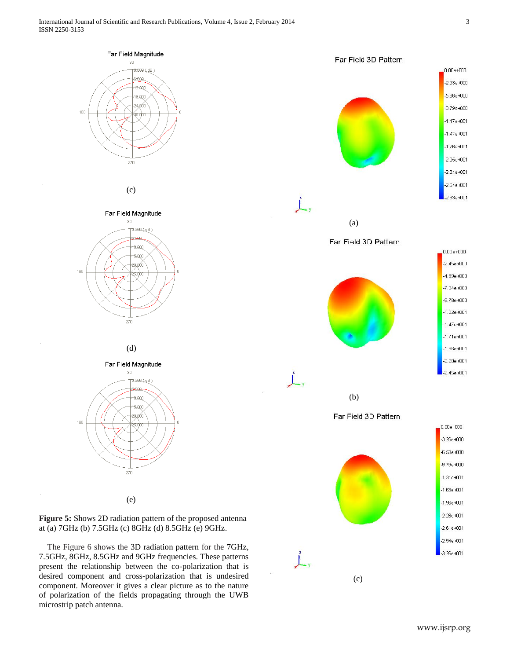180

180

180





present the relationship between the co-polarization that is desired component and cross-polarization that is undesired component. Moreover it gives a clear picture as to the nature of polarization of the fields propagating through the UWB microstrip patch antenna.

(c)